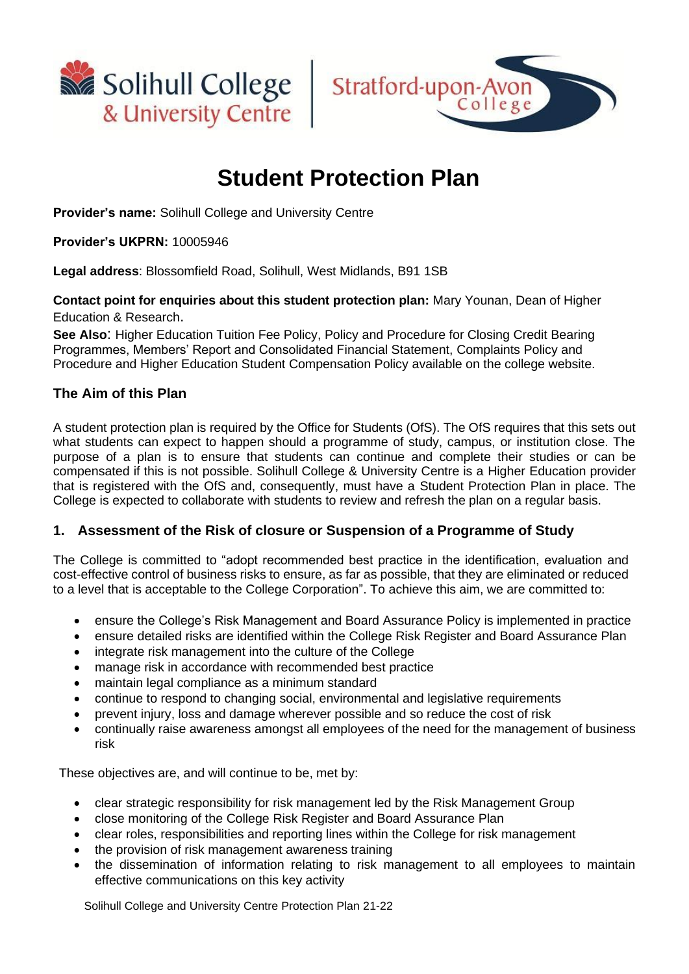



# **Student Protection Plan**

**Provider's name:** Solihull College and University Centre

# **Provider's UKPRN:** 10005946

**Legal address**: Blossomfield Road, Solihull, West Midlands, B91 1SB

**Contact point for enquiries about this student protection plan:** Mary Younan, Dean of Higher Education & Research.

**See Also**: Higher Education Tuition Fee Policy, Policy and Procedure for Closing Credit Bearing Programmes, Members' Report and Consolidated Financial Statement, Complaints Policy and Procedure and Higher Education Student Compensation Policy available on the college website.

# **The Aim of this Plan**

A student protection plan is required by the Office for Students (OfS). The OfS requires that this sets out what students can expect to happen should a programme of study, campus, or institution close. The purpose of a plan is to ensure that students can continue and complete their studies or can be compensated if this is not possible. Solihull College & University Centre is a Higher Education provider that is registered with the OfS and, consequently, must have a Student Protection Plan in place. The College is expected to collaborate with students to review and refresh the plan on a regular basis.

# **1. Assessment of the Risk of closure or Suspension of a Programme of Study**

The College is committed to "adopt recommended best practice in the identification, evaluation and cost-effective control of business risks to ensure, as far as possible, that they are eliminated or reduced to a level that is acceptable to the College Corporation". To achieve this aim, we are committed to:

- ensure the College's Risk Management and Board Assurance Policy is implemented in practice
- ensure detailed risks are identified within the College Risk Register and Board Assurance Plan
- integrate risk management into the culture of the College
- manage risk in accordance with recommended best practice
- maintain legal compliance as a minimum standard
- continue to respond to changing social, environmental and legislative requirements
- prevent injury, loss and damage wherever possible and so reduce the cost of risk
- continually raise awareness amongst all employees of the need for the management of business risk

These objectives are, and will continue to be, met by:

- clear strategic responsibility for risk management led by the Risk Management Group
- close monitoring of the College Risk Register and Board Assurance Plan
- clear roles, responsibilities and reporting lines within the College for risk management
- the provision of risk management awareness training
- the dissemination of information relating to risk management to all employees to maintain effective communications on this key activity

Solihull College and University Centre Protection Plan 21-22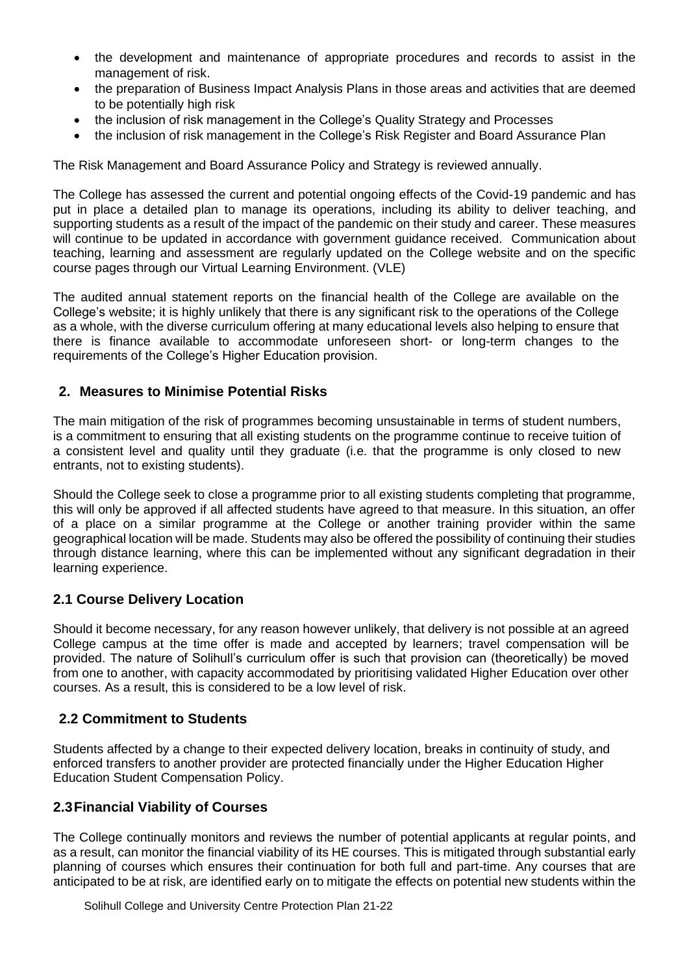- the development and maintenance of appropriate procedures and records to assist in the management of risk.
- the preparation of Business Impact Analysis Plans in those areas and activities that are deemed to be potentially high risk
- the inclusion of risk management in the College's Quality Strategy and Processes
- the inclusion of risk management in the College's Risk Register and Board Assurance Plan

The Risk Management and Board Assurance Policy and Strategy is reviewed annually.

The College has assessed the current and potential ongoing effects of the Covid-19 pandemic and has put in place a detailed plan to manage its operations, including its ability to deliver teaching, and supporting students as a result of the impact of the pandemic on their study and career. These measures will continue to be updated in accordance with government guidance received. Communication about teaching, learning and assessment are regularly updated on the College website and on the specific course pages through our Virtual Learning Environment. (VLE)

The audited annual statement reports on the financial health of the College are available on the College's website; it is highly unlikely that there is any significant risk to the operations of the College as a whole, with the diverse curriculum offering at many educational levels also helping to ensure that there is finance available to accommodate unforeseen short- or long-term changes to the requirements of the College's Higher Education provision.

# **2. Measures to Minimise Potential Risks**

The main mitigation of the risk of programmes becoming unsustainable in terms of student numbers, is a commitment to ensuring that all existing students on the programme continue to receive tuition of a consistent level and quality until they graduate (i.e. that the programme is only closed to new entrants, not to existing students).

Should the College seek to close a programme prior to all existing students completing that programme, this will only be approved if all affected students have agreed to that measure. In this situation, an offer of a place on a similar programme at the College or another training provider within the same geographical location will be made. Students may also be offered the possibility of continuing their studies through distance learning, where this can be implemented without any significant degradation in their learning experience.

# **2.1 Course Delivery Location**

Should it become necessary, for any reason however unlikely, that delivery is not possible at an agreed College campus at the time offer is made and accepted by learners; travel compensation will be provided. The nature of Solihull's curriculum offer is such that provision can (theoretically) be moved from one to another, with capacity accommodated by prioritising validated Higher Education over other courses. As a result, this is considered to be a low level of risk.

#### **2.2 Commitment to Students**

Students affected by a change to their expected delivery location, breaks in continuity of study, and enforced transfers to another provider are protected financially under the Higher Education Higher Education Student Compensation Policy.

#### **2.3Financial Viability of Courses**

The College continually monitors and reviews the number of potential applicants at regular points, and as a result, can monitor the financial viability of its HE courses. This is mitigated through substantial early planning of courses which ensures their continuation for both full and part-time. Any courses that are anticipated to be at risk, are identified early on to mitigate the effects on potential new students within the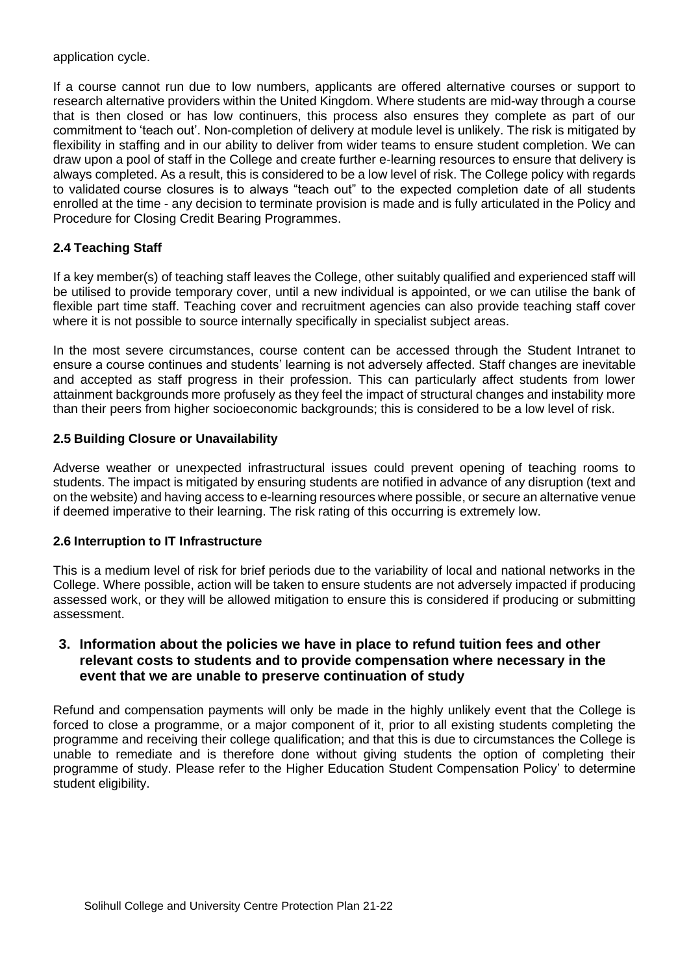application cycle.

If a course cannot run due to low numbers, applicants are offered alternative courses or support to research alternative providers within the United Kingdom. Where students are mid-way through a course that is then closed or has low continuers, this process also ensures they complete as part of our commitment to 'teach out'. Non-completion of delivery at module level is unlikely. The risk is mitigated by flexibility in staffing and in our ability to deliver from wider teams to ensure student completion. We can draw upon a pool of staff in the College and create further e-learning resources to ensure that delivery is always completed. As a result, this is considered to be a low level of risk. The College policy with regards to validated course closures is to always "teach out" to the expected completion date of all students enrolled at the time - any decision to terminate provision is made and is fully articulated in the Policy and Procedure for Closing Credit Bearing Programmes.

# **2.4 Teaching Staff**

If a key member(s) of teaching staff leaves the College, other suitably qualified and experienced staff will be utilised to provide temporary cover, until a new individual is appointed, or we can utilise the bank of flexible part time staff. Teaching cover and recruitment agencies can also provide teaching staff cover where it is not possible to source internally specifically in specialist subject areas.

In the most severe circumstances, course content can be accessed through the Student Intranet to ensure a course continues and students' learning is not adversely affected. Staff changes are inevitable and accepted as staff progress in their profession. This can particularly affect students from lower attainment backgrounds more profusely as they feel the impact of structural changes and instability more than their peers from higher socioeconomic backgrounds; this is considered to be a low level of risk.

#### **2.5 Building Closure or Unavailability**

Adverse weather or unexpected infrastructural issues could prevent opening of teaching rooms to students. The impact is mitigated by ensuring students are notified in advance of any disruption (text and on the website) and having access to e-learning resources where possible, or secure an alternative venue if deemed imperative to their learning. The risk rating of this occurring is extremely low.

#### **2.6 Interruption to IT Infrastructure**

This is a medium level of risk for brief periods due to the variability of local and national networks in the College. Where possible, action will be taken to ensure students are not adversely impacted if producing assessed work, or they will be allowed mitigation to ensure this is considered if producing or submitting assessment.

# **3. Information about the policies we have in place to refund tuition fees and other relevant costs to students and to provide compensation where necessary in the event that we are unable to preserve continuation of study**

Refund and compensation payments will only be made in the highly unlikely event that the College is forced to close a programme, or a major component of it, prior to all existing students completing the programme and receiving their college qualification; and that this is due to circumstances the College is unable to remediate and is therefore done without giving students the option of completing their programme of study. Please refer to the Higher Education Student Compensation Policy' to determine student eligibility.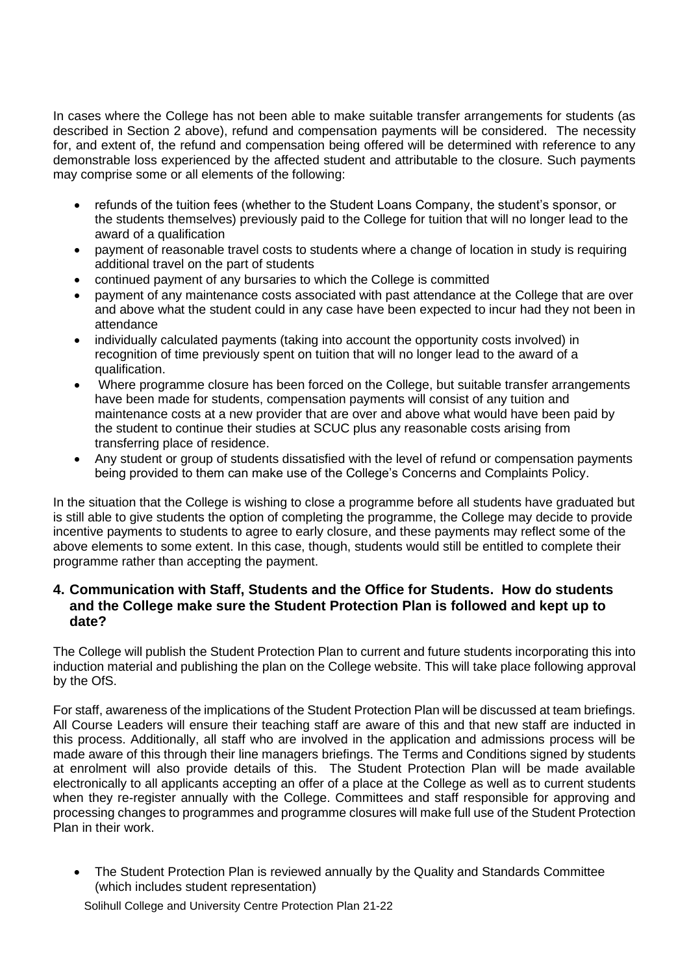In cases where the College has not been able to make suitable transfer arrangements for students (as described in Section 2 above), refund and compensation payments will be considered. The necessity for, and extent of, the refund and compensation being offered will be determined with reference to any demonstrable loss experienced by the affected student and attributable to the closure. Such payments may comprise some or all elements of the following:

- refunds of the tuition fees (whether to the Student Loans Company, the student's sponsor, or the students themselves) previously paid to the College for tuition that will no longer lead to the award of a qualification
- payment of reasonable travel costs to students where a change of location in study is requiring additional travel on the part of students
- continued payment of any bursaries to which the College is committed
- payment of any maintenance costs associated with past attendance at the College that are over and above what the student could in any case have been expected to incur had they not been in attendance
- individually calculated payments (taking into account the opportunity costs involved) in recognition of time previously spent on tuition that will no longer lead to the award of a qualification.
- Where programme closure has been forced on the College, but suitable transfer arrangements have been made for students, compensation payments will consist of any tuition and maintenance costs at a new provider that are over and above what would have been paid by the student to continue their studies at SCUC plus any reasonable costs arising from transferring place of residence.
- Any student or group of students dissatisfied with the level of refund or compensation payments being provided to them can make use of the College's Concerns and Complaints Policy.

In the situation that the College is wishing to close a programme before all students have graduated but is still able to give students the option of completing the programme, the College may decide to provide incentive payments to students to agree to early closure, and these payments may reflect some of the above elements to some extent. In this case, though, students would still be entitled to complete their programme rather than accepting the payment.

# **4. Communication with Staff, Students and the Office for Students. How do students and the College make sure the Student Protection Plan is followed and kept up to date?**

The College will publish the Student Protection Plan to current and future students incorporating this into induction material and publishing the plan on the College website. This will take place following approval by the OfS.

For staff, awareness of the implications of the Student Protection Plan will be discussed at team briefings. All Course Leaders will ensure their teaching staff are aware of this and that new staff are inducted in this process. Additionally, all staff who are involved in the application and admissions process will be made aware of this through their line managers briefings. The Terms and Conditions signed by students at enrolment will also provide details of this. The Student Protection Plan will be made available electronically to all applicants accepting an offer of a place at the College as well as to current students when they re-register annually with the College. Committees and staff responsible for approving and processing changes to programmes and programme closures will make full use of the Student Protection Plan in their work.

• The Student Protection Plan is reviewed annually by the Quality and Standards Committee (which includes student representation)

Solihull College and University Centre Protection Plan 21-22